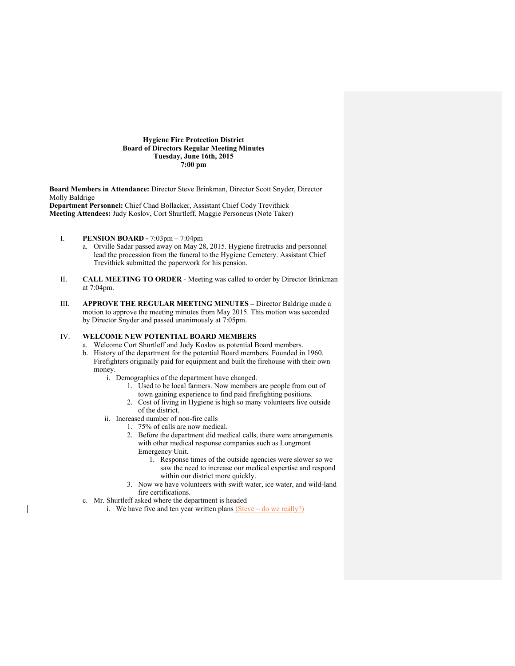## **Hygiene Fire Protection District Board of Directors Regular Meeting Minutes Tuesday, June 16th, 2015 7:00 pm**

**Board Members in Attendance:** Director Steve Brinkman, Director Scott Snyder, Director Molly Baldrige **Department Personnel:** Chief Chad Bollacker, Assistant Chief Cody Trevithick

**Meeting Attendees:** Judy Koslov, Cort Shurtleff, Maggie Personeus (Note Taker)

- I. **PENSION BOARD -** 7:03pm 7:04pm
	- a. Orville Sadar passed away on May 28, 2015. Hygiene firetrucks and personnel lead the procession from the funeral to the Hygiene Cemetery. Assistant Chief Trevithick submitted the paperwork for his pension.
- II. **CALL MEETING TO ORDER** Meeting was called to order by Director Brinkman at 7:04pm.
- III. **APPROVE THE REGULAR MEETING MINUTES –** Director Baldrige made a motion to approve the meeting minutes from May 2015. This motion was seconded by Director Snyder and passed unanimously at 7:05pm.

# IV. **WELCOME NEW POTENTIAL BOARD MEMBERS**

- a. Welcome Cort Shurtleff and Judy Koslov as potential Board members.
- b. History of the department for the potential Board members. Founded in 1960. Firefighters originally paid for equipment and built the firehouse with their own money.
	- i. Demographics of the department have changed.
		- 1. Used to be local farmers. Now members are people from out of town gaining experience to find paid firefighting positions.
		- 2. Cost of living in Hygiene is high so many volunteers live outside of the district.
	- ii. Increased number of non-fire calls
		- 1. 75% of calls are now medical.
			- 2. Before the department did medical calls, there were arrangements with other medical response companies such as Longmont Emergency Unit.
				- 1. Response times of the outside agencies were slower so we saw the need to increase our medical expertise and respond within our district more quickly.
			- 3. Now we have volunteers with swift water, ice water, and wild-land fire certifications.
- c. Mr. Shurtleff asked where the department is headed
	- i. We have five and ten year written plans  $(Steve do we really?)$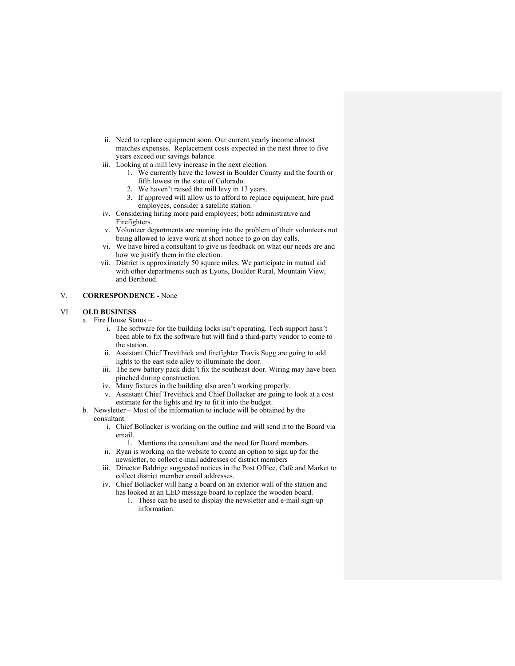- ii. Need to replace equipment soon. Our current yearly income almost matches expenses. Replacement costs expected in the next three to five years exceed our savings balance.
- iii. Looking at a mill levy increase in the next election.
	- 1. We currently have the lowest in Boulder County and the fourth or fifth lowest in the state of Colorado.
		- 2. We haven't raised the mill levy in 13 years.
	- 3. If approved will allow us to afford to replace equipment, hire paid employees, consider a satellite station.
- iv. Considering hiring more paid employees; both administrative and Firefighters.
- v. Volunteer departments are running into the problem of their volunteers not being allowed to leave work at short notice to go on day calls.
- vi. We have hired a consultant to give us feedback on what our needs are and how we justify them in the election.
- vii. District is approximately 50 square miles. We participate in mutual aid with other departments such as Lyons, Boulder Rural, Mountain View, and Berthoud.

# V. **CORRESPONDENCE -** None

#### VI. **OLD BUSINESS**

- a. Fire House Status
	- i. The software for the building locks isn't operating. Tech support hasn't been able to fix the software but will find a third-party vendor to come to the station.
	- ii. Assistant Chief Trevithick and firefighter Travis Sugg are going to add lights to the east side alley to illuminate the door.
	- iii. The new battery pack didn't fix the southeast door. Wiring may have been pinched during construction.
	- iv. Many fixtures in the building also aren't working properly.
	- v. Assistant Chief Trevithick and Chief Bollacker are going to look at a cost estimate for the lights and try to fit it into the budget.
- b. Newsletter Most of the information to include will be obtained by the consultant.
	- i. Chief Bollacker is working on the outline and will send it to the Board via email.
		- 1. Mentions the consultant and the need for Board members.
	- ii. Ryan is working on the website to create an option to sign up for the newsletter, to collect e-mail addresses of district members
	- iii. Director Baldrige suggested notices in the Post Office, Café and Market to collect district member email addresses.
	- iv. Chief Bollacker will hang a board on an exterior wall of the station and has looked at an LED message board to replace the wooden board.
		- 1. These can be used to display the newsletter and e-mail sign-up information.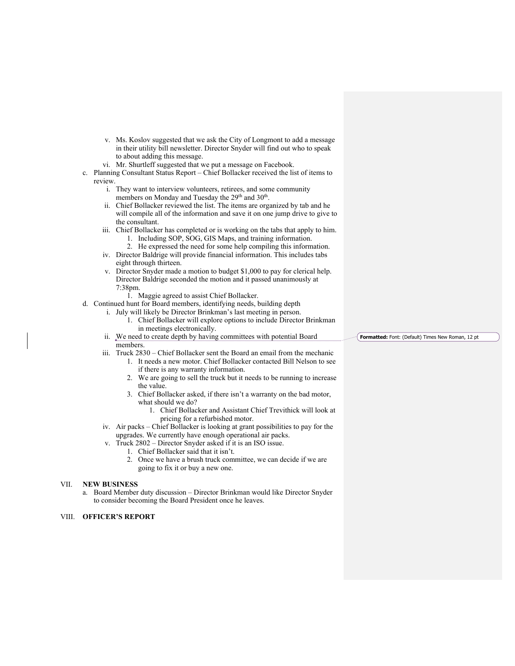- v. Ms. Koslov suggested that we ask the City of Longmont to add a message in their utility bill newsletter. Director Snyder will find out who to speak to about adding this message.
- vi. Mr. Shurtleff suggested that we put a message on Facebook.
- c. Planning Consultant Status Report Chief Bollacker received the list of items to review.
	- i. They want to interview volunteers, retirees, and some community members on Monday and Tuesday the 29<sup>th</sup> and 30<sup>th</sup>.
	- ii. Chief Bollacker reviewed the list. The items are organized by tab and he will compile all of the information and save it on one jump drive to give to the consultant.
	- iii. Chief Bollacker has completed or is working on the tabs that apply to him.
		- 1. Including SOP, SOG, GIS Maps, and training information.
		- 2. He expressed the need for some help compiling this information.
	- iv. Director Baldrige will provide financial information. This includes tabs eight through thirteen.
	- v. Director Snyder made a motion to budget \$1,000 to pay for clerical help. Director Baldrige seconded the motion and it passed unanimously at 7:38pm.
		- 1. Maggie agreed to assist Chief Bollacker.
- d. Continued hunt for Board members, identifying needs, building depth
	- i. July will likely be Director Brinkman's last meeting in person.
		- 1. Chief Bollacker will explore options to include Director Brinkman in meetings electronically.
	- ii. We need to create depth by having committees with potential Board members. **Formatted:** Font: (Default) Times New Roman, 12 pt
	- iii. Truck 2830 Chief Bollacker sent the Board an email from the mechanic
		- 1. It needs a new motor. Chief Bollacker contacted Bill Nelson to see if there is any warranty information.
		- 2. We are going to sell the truck but it needs to be running to increase the value.
		- 3. Chief Bollacker asked, if there isn't a warranty on the bad motor, what should we do?
			- 1. Chief Bollacker and Assistant Chief Trevithick will look at pricing for a refurbished motor.
	- iv. Air packs Chief Bollacker is looking at grant possibilities to pay for the upgrades. We currently have enough operational air packs.
	- v. Truck 2802 Director Snyder asked if it is an ISO issue.
		- 1. Chief Bollacker said that it isn't.
			- 2. Once we have a brush truck committee, we can decide if we are going to fix it or buy a new one.

## VII. **NEW BUSINESS**

a. Board Member duty discussion – Director Brinkman would like Director Snyder to consider becoming the Board President once he leaves.

#### VIII. **OFFICER'S REPORT**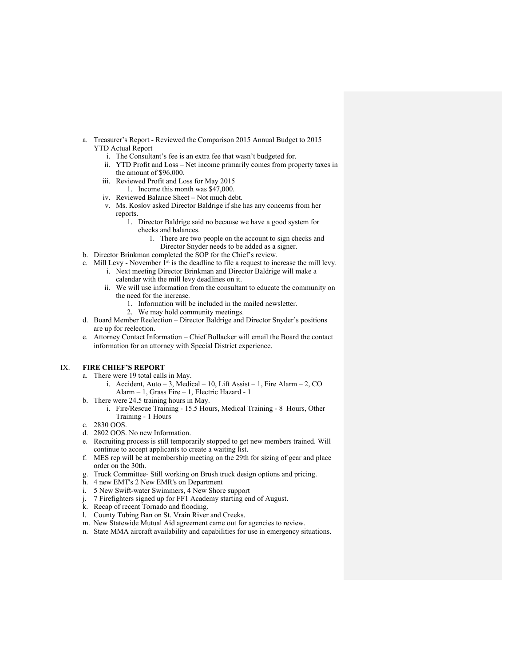- a. Treasurer's Report Reviewed the Comparison 2015 Annual Budget to 2015 YTD Actual Report
	- i. The Consultant's fee is an extra fee that wasn't budgeted for.
	- ii. YTD Profit and Loss Net income primarily comes from property taxes in the amount of \$96,000.
	- iii. Reviewed Profit and Loss for May 2015 1. Income this month was \$47,000.
	- iv. Reviewed Balance Sheet Not much debt.
	- v. Ms. Koslov asked Director Baldrige if she has any concerns from her reports.
		- 1. Director Baldrige said no because we have a good system for checks and balances.
			- 1. There are two people on the account to sign checks and Director Snyder needs to be added as a signer.
- b. Director Brinkman completed the SOP for the Chief's review.
- c. Mill Levy November  $I^{st}$  is the deadline to file a request to increase the mill levy.
	- i. Next meeting Director Brinkman and Director Baldrige will make a calendar with the mill levy deadlines on it.
		- ii. We will use information from the consultant to educate the community on the need for the increase.
			- 1. Information will be included in the mailed newsletter.
			- 2. We may hold community meetings.
- d. Board Member Reelection Director Baldrige and Director Snyder's positions are up for reelection.
- e. Attorney Contact Information Chief Bollacker will email the Board the contact information for an attorney with Special District experience.

# IX. **FIRE CHIEF'S REPORT**

- a. There were 19 total calls in May.
	- i. Accident, Auto 3, Medical 10, Lift Assist 1, Fire Alarm 2, CO Alarm – 1, Grass Fire – 1, Electric Hazard - 1
- b. There were 24.5 training hours in May.
	- i. Fire/Rescue Training 15.5 Hours, Medical Training 8 Hours, Other Training - 1 Hours
- c. 2830 OOS.
- d. 2802 OOS. No new Information.
- e. Recruiting process is still temporarily stopped to get new members trained. Will continue to accept applicants to create a waiting list.
- f. MES rep will be at membership meeting on the 29th for sizing of gear and place order on the 30th.
- g. Truck Committee- Still working on Brush truck design options and pricing.
- h. 4 new EMT's 2 New EMR's on Department
- i. 5 New Swift-water Swimmers, 4 New Shore support
- j. 7 Firefighters signed up for FF1 Academy starting end of August.
- k. Recap of recent Tornado and flooding.
- l. County Tubing Ban on St. Vrain River and Creeks.
- m. New Statewide Mutual Aid agreement came out for agencies to review.
- n. State MMA aircraft availability and capabilities for use in emergency situations.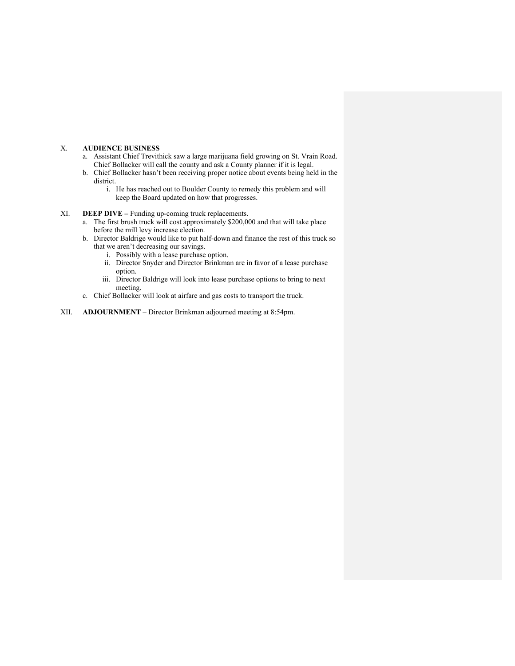## X. **AUDIENCE BUSINESS**

- a. Assistant Chief Trevithick saw a large marijuana field growing on St. Vrain Road. Chief Bollacker will call the county and ask a County planner if it is legal.
- b. Chief Bollacker hasn't been receiving proper notice about events being held in the district.
	- i. He has reached out to Boulder County to remedy this problem and will keep the Board updated on how that progresses.
- XI. **DEEP DIVE –** Funding up-coming truck replacements.
	- a. The first brush truck will cost approximately \$200,000 and that will take place before the mill levy increase election.
	- b. Director Baldrige would like to put half-down and finance the rest of this truck so that we aren't decreasing our savings.
		- i. Possibly with a lease purchase option.
		- ii. Director Snyder and Director Brinkman are in favor of a lease purchase option.
		- iii. Director Baldrige will look into lease purchase options to bring to next meeting.
	- c. Chief Bollacker will look at airfare and gas costs to transport the truck.
- XII. **ADJOURNMENT** Director Brinkman adjourned meeting at 8:54pm.